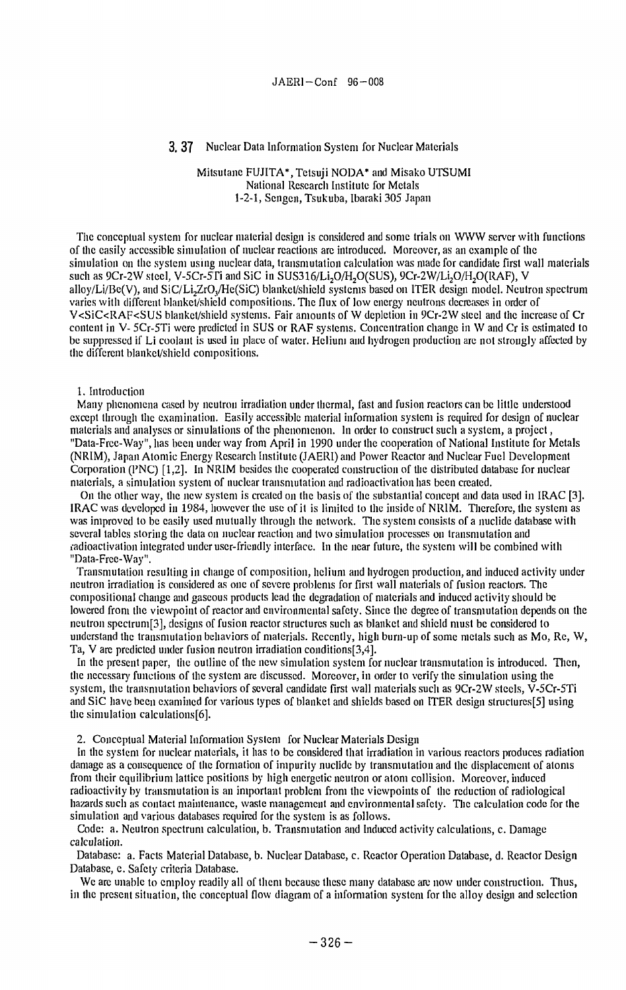### 3. 37 Nuclear Data Information System for Nuclear Materials

# Mitsutane FUJITA\*, Tetsuji NODA\* and Misako UTSUMI National Research Institute for Metals 1-2-1, Sengcn, Tsukuba, Ibaraki 305 Japan

The conceptual system for nuclear material design is considered and some trials on WWW server with functions of the easily accessible simulation of nuclear reactions are introduced. Moreover, as an example of the simulation on the system using nuclear data, transmutation calculation was made for candidate first wall materials such as 9Cr-2W steel, V-5Cr-5Ti and SiC in SUS316/Li<sub>2</sub>O/H<sub>2</sub>O(SUS), 9Cr-2W/Li<sub>2</sub>O/H<sub>2</sub>O(RAF), V alloy/Li/Be(V), and SiC/Li2ZrO,/He(SiC) blanket/shield systems based on ITER design model. Neutron spectrum varies with different blanket/shield compositions. The flux of low energy neutrons decreases in order of V<SiC<RAF<SUS blanket/shield systems. Fair amounts of W depletion in 9Cr-2W steel and the increase of Cr content in V- 5Cr-5Ti were predicted in SUS or RAF systems. Concentration change in W and Cr is estimated to be suppressed if Li coolant is used in place of water. Helium and hydrogen production are not strongly affected by the different blanket/shield compositions.

1. Introduction

Many phenomena cased by neutron irradiation under thermal, fast and fusion reactors can be little understood except through the examination. Easily accessible material information system is required for design of nuclear materials and analyses or simulations of the phenomenon. In order to construct such a system, a project, "Data-Free-Way", has been underway from April in 1990 under the cooperation of National Institute for Metals (NRIM), Japan Atomic Energy Research Institute (JAERI) and Power Reactor and Nuclear Fuel Development Corporation (PNC) [1,2]. In NRIM besides the cooperated construction of the distributed database for nuclear materials, a simulation system of nuclear transmutation and radioactivation has been created.

On the other way, the new system is created on the basis of the substantial concept and data used in IRAC [3]. IRAC was developed in 1984, however the use of it is limited to the inside of NRIM. Therefore, the system as was improved to be easily used mutually through the network. The system consists of a nuclide database with several tables storing the data on nuclear reaction and two simulation processes on transmutation and ladioactivation integrated under user-friendly interface. In the near future, the system will be combined with "Data-Frce-Way".

Transmutation resulting in change of composition, helium and hydrogen production, and induced activity under neutron irradiation is considered as one of severe problems for first wall materials of fusion reactors. The compositional change and gaseous products lead the degradation of materials and induced activity should be lowered from the viewpoint of reactor and environmental safely. Since the degree of transmutation depends on the neutron speclrum[3], designs of fusion reactor structures such as blanket and shield must be considered to understand the transmutation behaviors of materials. Recently, high burn-up of some metals such as Mo, Re, W, Ta, V are predicted under fusion neutron irradiation conditions[3,4].

In the present paper, **the** outline of the new simulation system for nuclear transmutation is introduced. Then, the necessary functions of the system are discussed. Moreover, in order to verify the simulation using the system, the transmutation behaviors of several candidate first wall materials such as 9Cr-2W steels, V-5Cr-5Ti and SiC have been examined for various types of blanket and shields based on ITER design structures[5] using the simulation calculations[6].

2. Conceptual Material Information System for Nuclear Materials Design

In the system for nuclear materials, it has to be considered that irradiation in various reactors produces radiation damage as a consequence of the formation of impurity nuclide by transmutation and the displacement of atoms from their equilibrium lattice positions by high energetic neutron or atom collision. Moreover, induced radioactivity by transmutation is an important problem from the viewpoints of the reduction of radiological hazards such as contact maintenance, waste management and environmental safety. The calculation code for the simulation and various databases required for the system is as follows.

Code: a. Neutron spectrum calculation, b. Transmutation and Induced activity calculations, c. Damage calculation.

Database: a. Facts Material Database, b. Nuclear Database, c. Reactor Operation Database, d. Reactor Design Database, e. Safety criteria Database.

We are unable to employ readily all of them because these many database are now under construction. Thus, in the present situation, the conceptual flow diagram of a information system for the alloy design and selection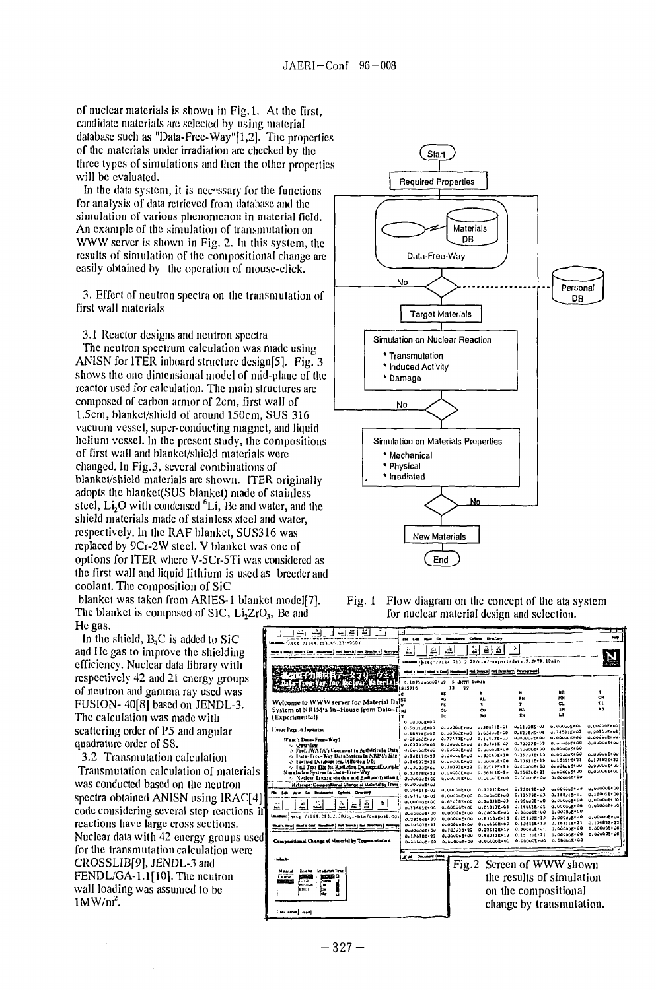of nuclear materials is shown in Fig.l. At the first, candidate materials are selected by using material database such as "Data-Free-Way"[l,2]. The properties of the materials under irradiation are checked by the three types of simulations and then the other properties will be evaluated.

In the data system, it is necessary for the functions for analysis of data retrieved from database and the simulation of various phenomenon in material field. An example of the simulation of transmutation on WWW server is shown in Fig. 2. In this system, the results of simulation of the compositional change are easily obtained by the operation of mouse-click.

3. Effect of neutron spectra on the transmutation of first wall materials

3.1 Reactor designs and neutron spectra

The neutron spectrum calculation was made using ANISN for ITER inboard structure design[5]. Fig. 3 shows the one dimensional model of mid-plane of the reactor used for calculation. The main structures are composed of carbon armor of 2cm, first wall of 1.5cm, blanket/shield of around 150cm, SUS 316 vacuum vessel, super-conducting magnet, and liquid helium vessel. In the present study, the compositions of first wall and blanket/shield materials were changed. In Fig.3, several combinations of blanket/shield materials arc shown. ITER originally adopts the blankct(SUS blanket) made of stainless steel,  $Li<sub>2</sub>O$  with condensed  $<sup>6</sup>Li$ , Be and water, and the</sup> shield materials made of stainless steel and water, respectively. In the RAF blanket, SUS316 was replaced by 9Cr-2W steel. V blanket was one of options for ITER where V-5Cr-5Ti was considered as the first wall and liquid lithium is used as breeder and coolant. The composition of SiC

blanket was taken from ARIES-1 blanket model[7]. The blanket is composed of SiC, Li<sub>2</sub>ZrO<sub>3</sub>, Be and He gas.

In the shield,  $B_4C$  is added to SiC and He gas to improve the shielding efficiency. Nuclear data library with respectively 42 and 21 energy groups of neutron and gamma ray used was FUSION- 40[8] based on JENDL-3. The calculation was made with scattering order of P5 and angular quadrature order of S8.

3.2 Transmutation calculation Transmutation calculation of materials was conducted based on the neutron spectra obtained ANISN using IRAC[4] code considering several step reactions if reactions have large cross sections. Nuclear data with 42 energy groups used for the transmutation calculation were CROSSLIB[9], JENDL-3 and FENDL/GA-1.1[10]. The neutron wall loading was assumed to be  $1$ MW/ $m^2$ .



Fig. 1 Flow diagram on the concept of the ata system for nuclear material design and selection.

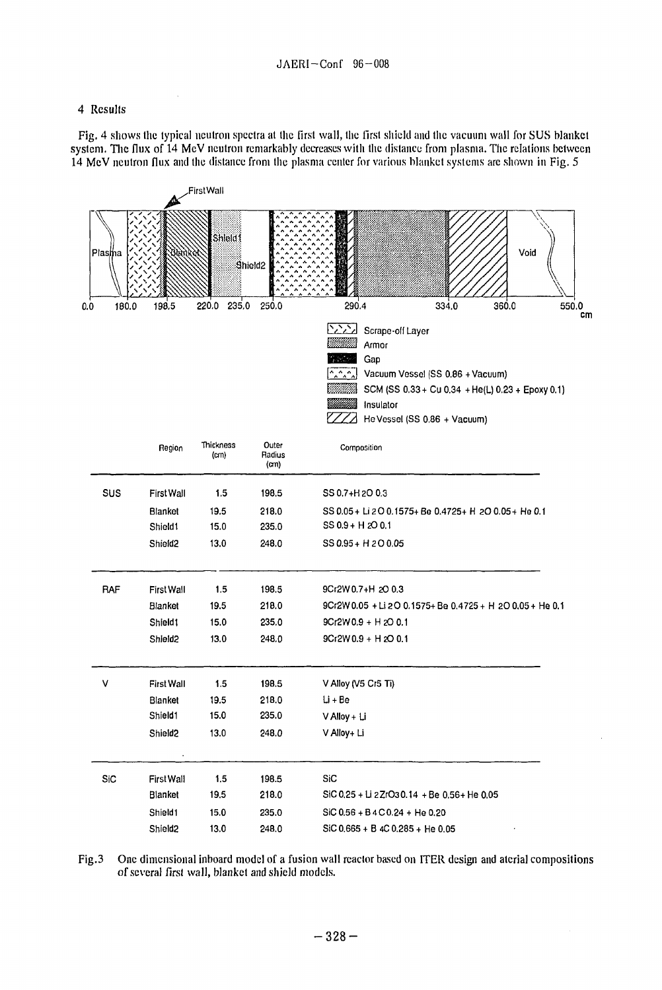### 4 Results

Fig. 4 shows the typical neutron spectra at the first wall, the first shield and the vacuum wall for SUS blanket system. The flux of 14 McV neutron remarkably decreases with the distance from plasma. The relations between 14 MeV neutron flux and the distance from the plasma center for various blanket systems arc shown in Fig. 5



Fig.3 One dimensional inboard model of a fusion wall reactor based on ITER design and aterial compositions of several first wall, blanket and shield models.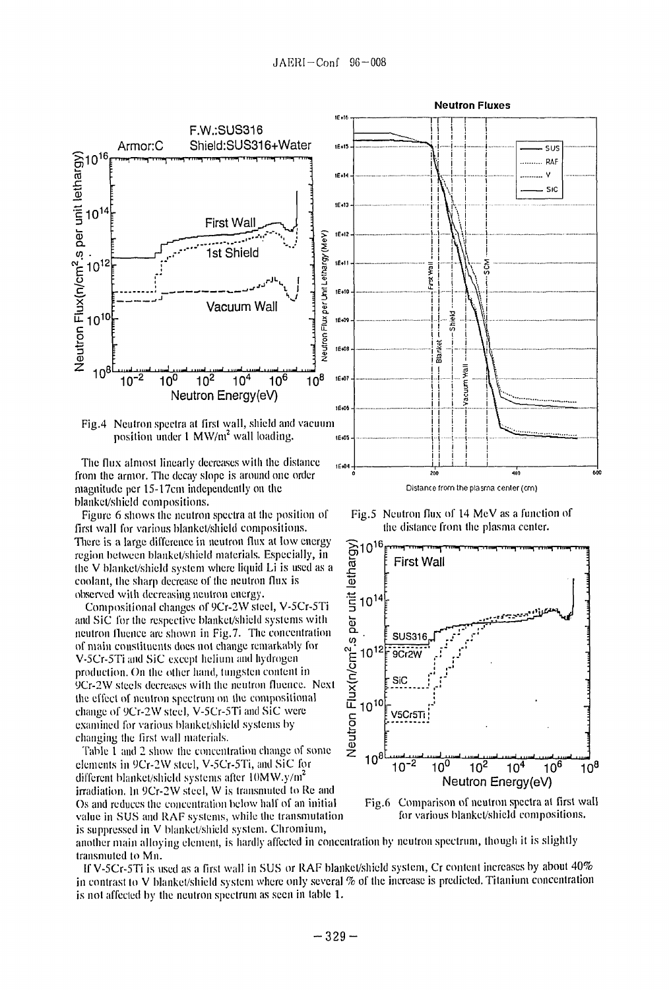

The flux almost linearly decreases with the distance  $\frac{16,04}{16,04}$ from the armor. The decay slope is around one order magnitude per 15-17cm independently on the blanket/shield compositions.

Figure 6 shows the neutron spectra at the position of first wall for various blanket/shield compositions. There is a large difference in neutron **flux** at low energy region between blanket/shield materials. Especially, in the V blanket/shield system where liquid Li is used as a coolant, the sharp decrease of the neutron flux is observed with decreasing neutron energy.

Compositional changes of 9Cr-2W steel, V-5Cr-5Ti and SiC for the respective blanket/shield systems with neutron fluence are shown in Fig.7. The concentration of main constituents does not change remarkably for V-5Cr-5Ti and SiC except helium and hydrogen production. On the other hand, tungsten content in 9Cr-2W steels decreases with the neutron fluence. Next the effect of neutron spectrum on the compositional change of 9Cr-2W steel, V-5Cr-5Ti and SiC were examined for various blanket/shield systems by changing the first wall materials.

Table 1 and 2 show the concentration change of some elements in 9Cr-2W steel, V-5Cr-5Ti, and SiC for different blanket/shield systems after 10MW.y/m<sup>2</sup> irradiation. In 9Cr-2W steel, W is transmuted to Re and Os and reduces the concentration below half of an initial value in SUS and RAF systems, while the transmutation is suppressed in V blanket/shield system. Chromium,



...<br>400

Fig.5 Neutron flux of 14 MeV as a function of **the** distance from the plasma center.



Fig.6 Comparison of neutron spectra at first wall for various blanket/shield compositions.

another main alloying element, is hardly affected in concentration by neutron spectrum, though it is slightly transmuted to Mn.

If V-5Cr-5Ti is used as a first wall in SUS or RAF blanket/shield system, Cr content increases by about 40% in contrast to V blanket/shield system where only several  $%$  of the increase is predicted. Titanium concentration is not affected by the neutron spectrum as seen in table 1.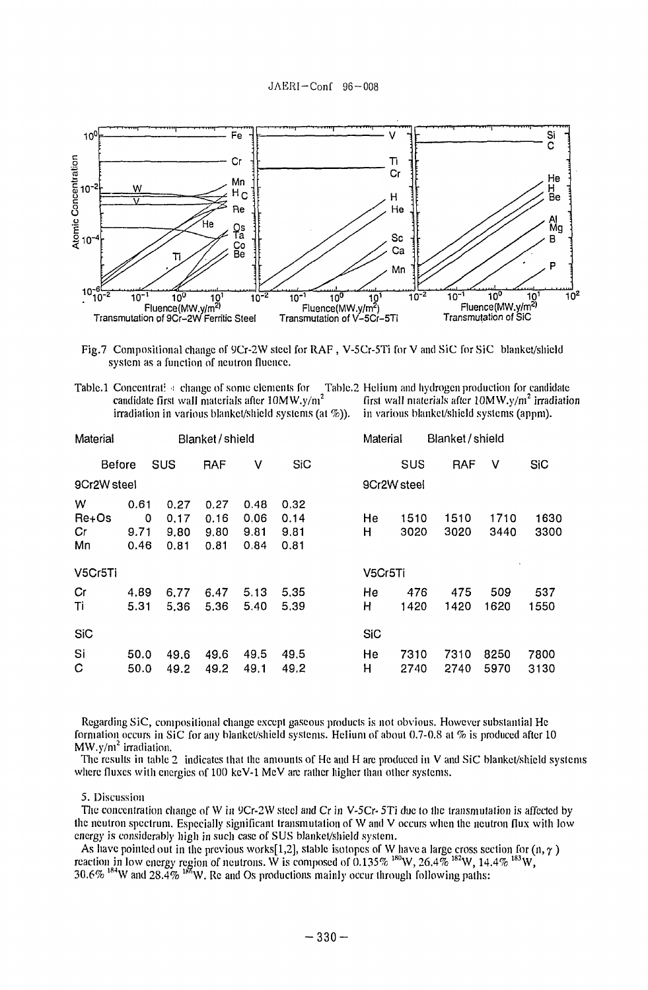

Fig.7 Compositional change of 9Cr-2W steel for RAF , V-5Cr-5Ti for V and SiC for SiC blanket/shield system as a function of neutron fluence.

Table.1 Concentrati a change of some elements for Table.2 Helium and hydrogen production for candidate candidate first wall materials after  $10MW.y/n^2$  firadiation candidate first wall materials after 10MW.y/m<sup>2</sup> first wall materials after 10MW.y/m<sup>2</sup> irrad<br>irradiation in various blanket/shield systems (at %)). in various blanket/shield systems (appm). irradiation in various blanket/shield systems (at  $\%$ )).

| Material               |                      | Blanket/shield |                              |                              |                              |                              |  | Material    |              | Blanket / shield |              |              |              |
|------------------------|----------------------|----------------|------------------------------|------------------------------|------------------------------|------------------------------|--|-------------|--------------|------------------|--------------|--------------|--------------|
| <b>Before</b>          |                      | <b>SUS</b>     |                              | <b>RAF</b>                   | ٧                            | <b>SiC</b>                   |  |             | <b>SUS</b>   |                  | <b>RAF</b>   | v            | <b>SiC</b>   |
| 9Cr2W steel            |                      |                |                              |                              |                              |                              |  | 9Cr2W steel |              |                  |              |              |              |
| W<br>Re+Os<br>Cr<br>Mn | 0.61<br>9.71<br>0.46 | 0              | 0.27<br>0.17<br>9.80<br>0.81 | 0.27<br>0.16<br>9.80<br>0.81 | 0.48<br>0.06<br>9.81<br>0.84 | 0.32<br>0.14<br>9.81<br>0.81 |  | He<br>Н     | 1510<br>3020 |                  | 1510<br>3020 | 1710<br>3440 | 1630<br>3300 |
| V5Cr5Ti                |                      |                |                              |                              |                              |                              |  | V5Cr5Ti     |              |                  |              |              |              |
| Cr<br>Ti               | 4.89<br>5.31         |                | 6.77<br>5.36                 | 6.47<br>5.36                 | 5.13<br>5.40                 | 5,35<br>5.39                 |  | He<br>н     | 476<br>1420  |                  | 475<br>1420  | 509<br>1620  | 537<br>1550  |
| <b>SiC</b>             |                      |                |                              |                              |                              |                              |  | <b>SiC</b>  |              |                  |              |              |              |
| Si<br>C                | 50.0<br>50.0         |                | 49.6<br>49.2                 | 49.6<br>49.2                 | 49,5<br>49.1                 | 49.5<br>49.2                 |  | He<br>н     | 7310<br>2740 |                  | 7310<br>2740 | 8250<br>5970 | 7800<br>3130 |

Regarding SiC, compositional change except gaseous products is not obvious. However substantial He formation occurs in SiC for any blanket/shield systems. Helium of about 0.7-0.8 at % is produced after 10  $MW.y/m<sup>2</sup>$  irradiation.

The results in table 2 indicates that the amounts of He and H are produced in V and SiC blanket/shield systems where fluxes with energies of 100 keV-1 MeV are rather higher than other systems.

# 5. Discussion

The concentration change of W in 9Cr-2W steel and Cr in V-5Cr-5Ti due to the transmutation is affected by the neutron spectrum. Especially significant transmutation of W and V occurs when the neutron flux with low energy is considerably high in such case of SUS blanket/shield system.

As have pointed out in the previous works[1,2], stable isotopes of W have a large cross section for (n,  $\gamma$ ) reaction in low energy region of neutrons. W is composed of 0.135%  $^{180}$ W, 26.4%  $^{182}$ W, 14.4%  $^{183}$ W 30.6%  $^{184}$ W and 28.4%  $^{186}$ W. Re and Os productions mainly occur through following paths